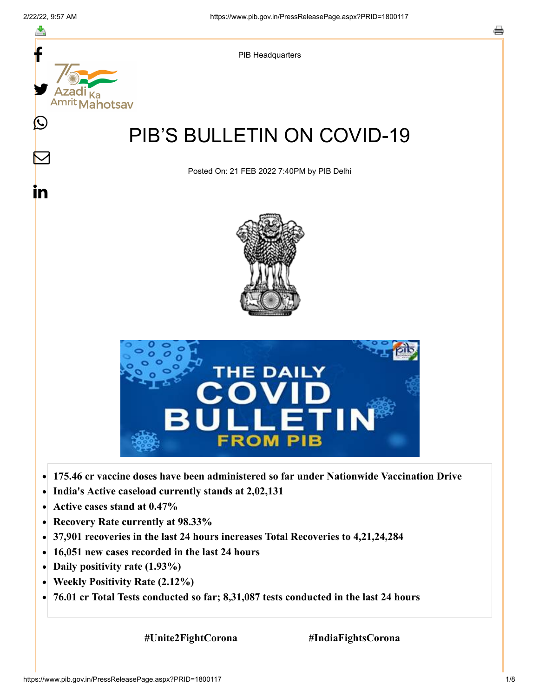

- **Recovery Rate currently at 98.33%**  $\bullet$
- **37,901 recoveries in the last 24 hours increases Total Recoveries to 4,21,24,284**  $\bullet$
- **16,051 new cases recorded in the last 24 hours**  $\bullet$
- **Daily positivity rate (1.93%)**
- **Weekly Positivity Rate (2.12%)**  $\bullet$
- **76.01 cr Total Tests conducted so far; 8,31,087 tests conducted in the last 24 hours**  $\bullet$

 **#Unite2FightCorona #IndiaFightsCorona**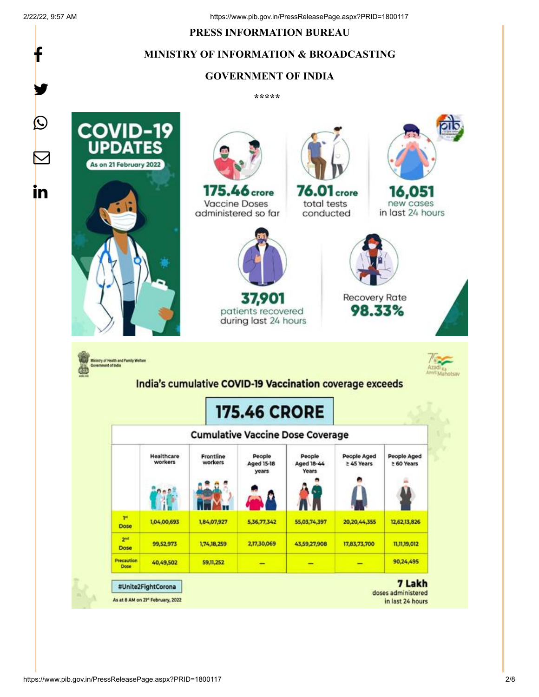f

y.

#### **PRESS INFORMATION BUREAU**

#### **MINISTRY OF INFORMATION & BROADCASTING**

#### **GOVERNMENT OF INDIA**

**\*\*\*\*\*** 

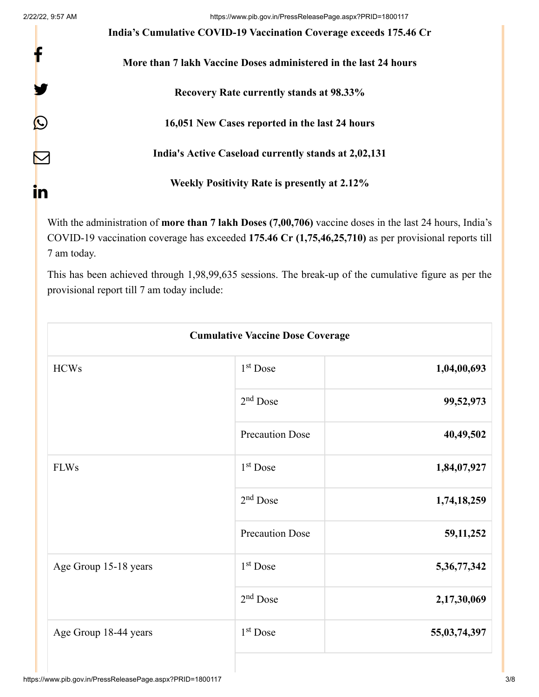f

y.

 $\bm{\mathcal{Q}}$ 

 $\bm{\nabla}$ 

in

**India's Cumulative COVID-19 Vaccination Coverage exceeds 175.46 Cr**

**More than 7 lakh Vaccine Doses administered in the last 24 hours**

**Recovery Rate currently stands at 98.33%**

**16,051 New Cases reported in the last 24 hours**

**India's Active Caseload currently stands at 2,02,131**

**Weekly Positivity Rate is presently at 2.12%**

With the administration of **more than 7 lakh Doses (7,00,706)** vaccine doses in the last 24 hours, India's COVID-19 vaccination coverage has exceeded **175.46 Cr (1,75,46,25,710)** as per provisional reports till 7 am today.

This has been achieved through 1,98,99,635 sessions. The break-up of the cumulative figure as per the provisional report till 7 am today include:

| <b>Cumulative Vaccine Dose Coverage</b> |              |  |
|-----------------------------------------|--------------|--|
| 1 <sup>st</sup> Dose                    | 1,04,00,693  |  |
| $2nd$ Dose                              | 99,52,973    |  |
| <b>Precaution Dose</b>                  | 40,49,502    |  |
| 1 <sup>st</sup> Dose                    | 1,84,07,927  |  |
| $2nd$ Dose                              | 1,74,18,259  |  |
| <b>Precaution Dose</b>                  | 59, 11, 252  |  |
| 1 <sup>st</sup> Dose                    | 5,36,77,342  |  |
| $2nd$ Dose                              | 2,17,30,069  |  |
| $1st$ Dose                              | 55,03,74,397 |  |
|                                         |              |  |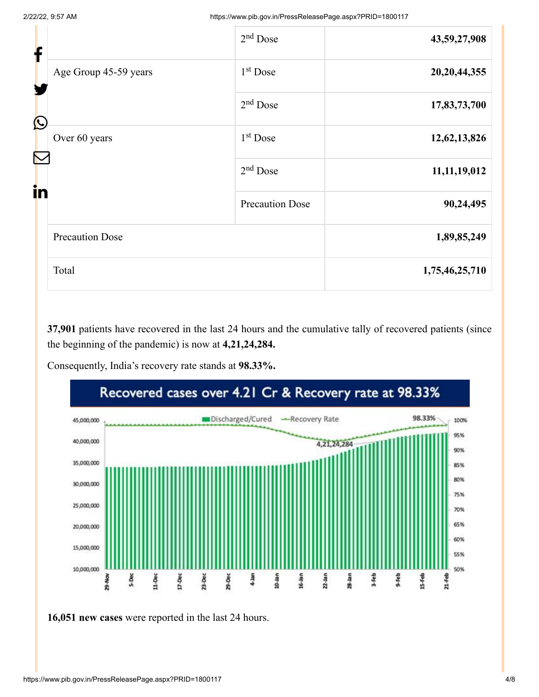| f                                   | $2nd$ Dose             | 43,59,27,908    |
|-------------------------------------|------------------------|-----------------|
| Age Group 45-59 years<br>$\bigcirc$ | $1st$ Dose             | 20, 20, 44, 355 |
|                                     | $2nd$ Dose             | 17,83,73,700    |
| Over 60 years<br>in                 | $1st$ Dose             | 12,62,13,826    |
|                                     | $2nd$ Dose             | 11, 11, 19, 012 |
|                                     | <b>Precaution Dose</b> | 90,24,495       |
| <b>Precaution Dose</b>              |                        | 1,89,85,249     |
| Total                               |                        | 1,75,46,25,710  |

**37,901** patients have recovered in the last 24 hours and the cumulative tally of recovered patients (since the beginning of the pandemic) is now at **4,21,24,284.**

Consequently, India's recovery rate stands at **98.33%.**



**16,051 new cases** were reported in the last 24 hours.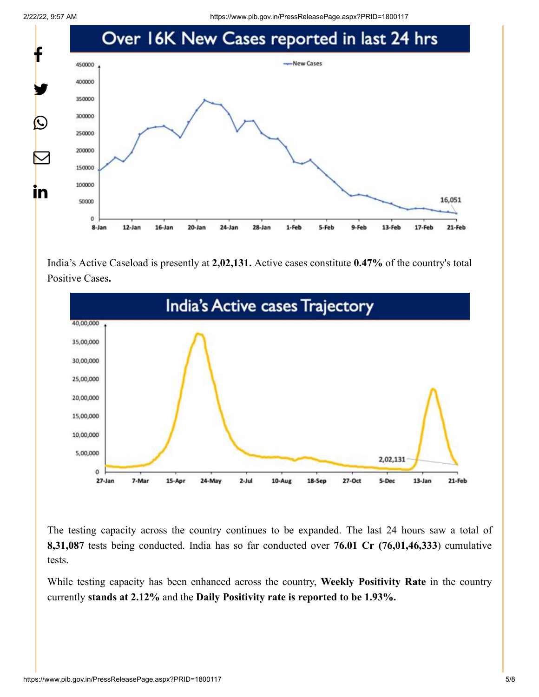2/22/22, 9:57 AM https://www.pib.gov.in/PressReleasePage.aspx?PRID=1800117



India's Active Caseload is presently at **2,02,131.** Active cases constitute **0.47%** of the country's total Positive Cases**.**



The testing capacity across the country continues to be expanded. The last 24 hours saw a total of **8,31,087** tests being conducted. India has so far conducted over **76.01 Cr (76,01,46,333**) cumulative tests.

While testing capacity has been enhanced across the country, **Weekly Positivity Rate** in the country currently **stands at 2.12%** and the **Daily Positivity rate is reported to be 1.93%.**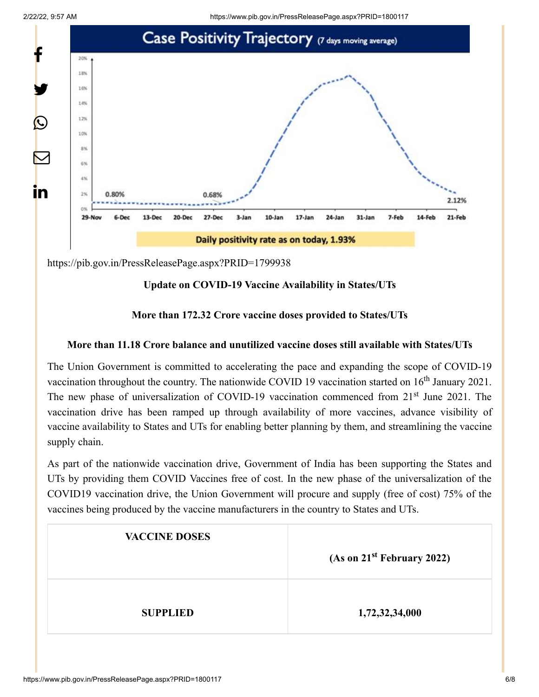



<https://pib.gov.in/PressReleasePage.aspx?PRID=1799938>

# **Update on COVID-19 Vaccine Availability in States/UTs**

### **More than 172.32 Crore vaccine doses provided to States/UTs**

# **More than 11.18 Crore balance and unutilized vaccine doses still available with States/UTs**

The Union Government is committed to accelerating the pace and expanding the scope of COVID-19 vaccination throughout the country. The nationwide COVID 19 vaccination started on  $16<sup>th</sup>$  January 2021. The new phase of universalization of COVID-19 vaccination commenced from 21<sup>st</sup> June 2021. The vaccination drive has been ramped up through availability of more vaccines, advance visibility of vaccine availability to States and UTs for enabling better planning by them, and streamlining the vaccine supply chain.

As part of the nationwide vaccination drive, Government of India has been supporting the States and UTs by providing them COVID Vaccines free of cost. In the new phase of the universalization of the COVID19 vaccination drive, the Union Government will procure and supply (free of cost) 75% of the vaccines being produced by the vaccine manufacturers in the country to States and UTs.

| <b>VACCINE DOSES</b> | (As on 21 <sup>st</sup> February 2022) |
|----------------------|----------------------------------------|
| <b>SUPPLIED</b>      | 1,72,32,34,000                         |